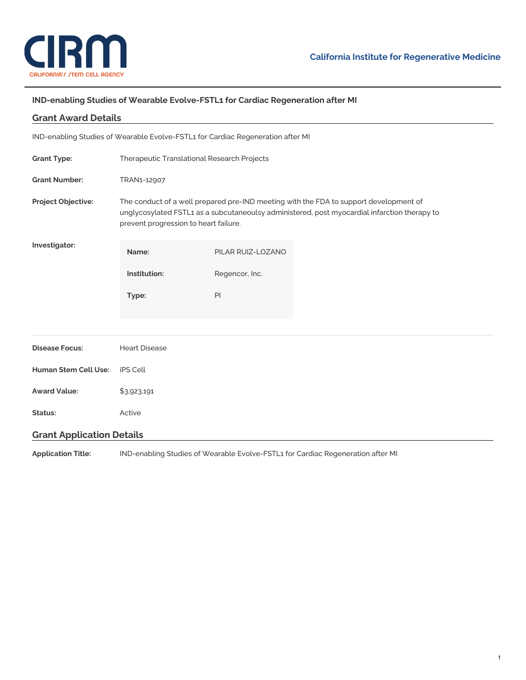

# **IND-enabling Studies of Wearable Evolve-FSTL1 for Cardiac Regeneration after MI**

| <b>Grant Award Details</b>                                                      |                                                                                                                                                                                                                                |                   |  |
|---------------------------------------------------------------------------------|--------------------------------------------------------------------------------------------------------------------------------------------------------------------------------------------------------------------------------|-------------------|--|
| IND-enabling Studies of Wearable Evolve-FSTL1 for Cardiac Regeneration after MI |                                                                                                                                                                                                                                |                   |  |
| <b>Grant Type:</b>                                                              | Therapeutic Translational Research Projects                                                                                                                                                                                    |                   |  |
| <b>Grant Number:</b>                                                            | TRAN1-12907                                                                                                                                                                                                                    |                   |  |
| Project Objective:                                                              | The conduct of a well prepared pre-IND meeting with the FDA to support development of<br>unglycosylated FSTL1 as a subcutaneoulsy administered, post myocardial infarction therapy to<br>prevent progression to heart failure. |                   |  |
| Investigator:                                                                   | Name:                                                                                                                                                                                                                          | PILAR RUIZ-LOZANO |  |
|                                                                                 | Institution:                                                                                                                                                                                                                   | Regencor, Inc.    |  |
|                                                                                 | Type:                                                                                                                                                                                                                          | PI                |  |
|                                                                                 |                                                                                                                                                                                                                                |                   |  |
| <b>Disease Focus:</b>                                                           | <b>Heart Disease</b>                                                                                                                                                                                                           |                   |  |
| <b>Human Stem Cell Use:</b>                                                     | <b>iPS Cell</b>                                                                                                                                                                                                                |                   |  |
| <b>Award Value:</b>                                                             | \$3,923,191                                                                                                                                                                                                                    |                   |  |
| Status:                                                                         | Active                                                                                                                                                                                                                         |                   |  |
| <b>Grant Application Details</b>                                                |                                                                                                                                                                                                                                |                   |  |

**Application Title:** IND-enabling Studies of Wearable Evolve-FSTL1 for Cardiac Regeneration after MI